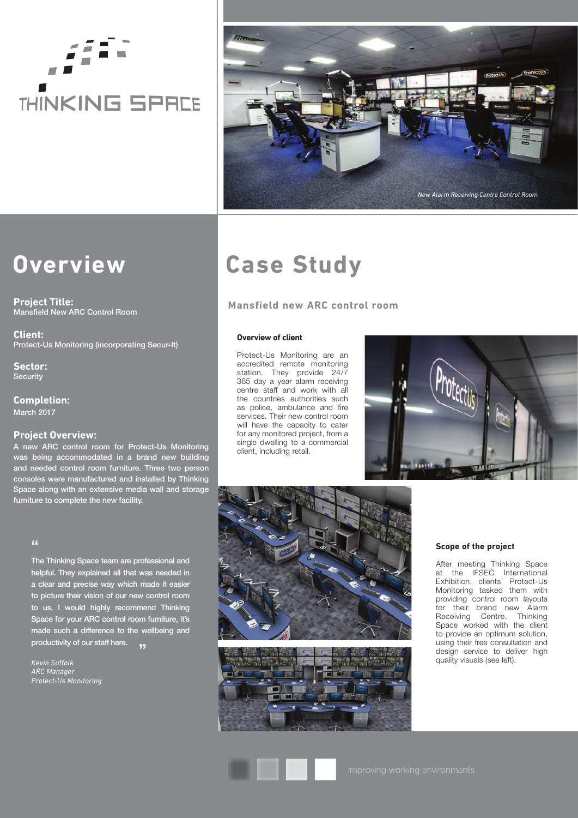# **THINKING SPRCE**



# **Overview**

**Project Title:** Mansfield New ARC Control Room

**Client:** Protect-Us Monitoring (incorporating Secur-It)

**Sector:** Security

**Completion:** March 2017

# **Project Overview:**

A new ARC control room for Protect-Us Monitoring was being accommodated in a brand new building and needed control room furniture. Three two person consoles were manufactured and installed by Thinking Space along with an extensive media wall and storage furniture to complete the new facility.

# "

The Thinking Space team are professional and helpful. They explained all that was needed in a clear and precise way which made it easier to picture their vision of our new control room to us. I would highly recommend Thinking Space for your ARC control room furniture, it's made such a difference to the wellbeing and productivity of our staff here. **JJ** 

*Kevin Suffolk ARC Manager Protect-Us Monitoring*

# **Case Study**

# **Mansfield new ARC control room**

### **Overview of client**

Protect-Us Monitoring are an accredited remote monitoring station. They provide 24/7 365 day a year alarm receiving centre staff and work with all the countries authorities such as police, ambulance and fire services. Their new control room will have the capacity to cater for any monitored project, from a single dwelling to a commercial client, including retail.







## **Scope of the project**

After meeting Thinking Space at the IFSEC International Exhibition, clients' Protect-Us Monitoring tasked them with providing control room layouts for their brand new Alarm Receiving Centre. Thinking Space worked with the client to provide an optimum solution, using their free consultation and design service to deliver high quality visuals (see left).